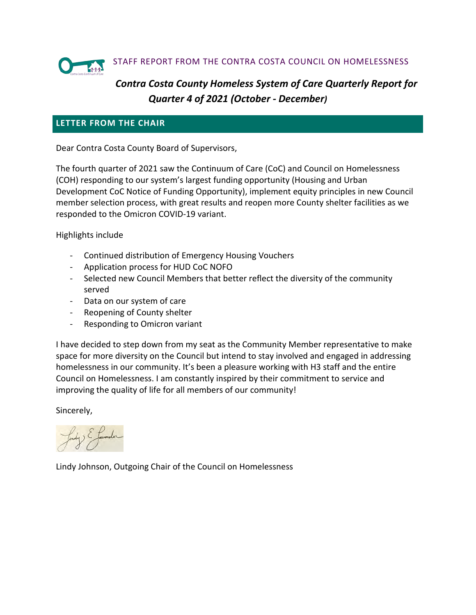

# *Contra Costa County Homeless System of Care Quarterly Report for Quarter 4 of 2021 (October - December)*

# **LETTER FROM THE CHAIR**

Dear Contra Costa County Board of Supervisors,

The fourth quarter of 2021 saw the Continuum of Care (CoC) and Council on Homelessness (COH) responding to our system's largest funding opportunity (Housing and Urban Development CoC Notice of Funding Opportunity), implement equity principles in new Council member selection process, with great results and reopen more County shelter facilities as we responded to the Omicron COVID-19 variant.

Highlights include

- Continued distribution of Emergency Housing Vouchers
- Application process for HUD CoC NOFO
- Selected new Council Members that better reflect the diversity of the community served
- Data on our system of care
- Reopening of County shelter
- Responding to Omicron variant

I have decided to step down from my seat as the Community Member representative to make space for more diversity on the Council but intend to stay involved and engaged in addressing homelessness in our community. It's been a pleasure working with H3 staff and the entire Council on Homelessness. I am constantly inspired by their commitment to service and improving the quality of life for all members of our community!

Sincerely,

Lindy Johnson, Outgoing Chair of the Council on Homelessness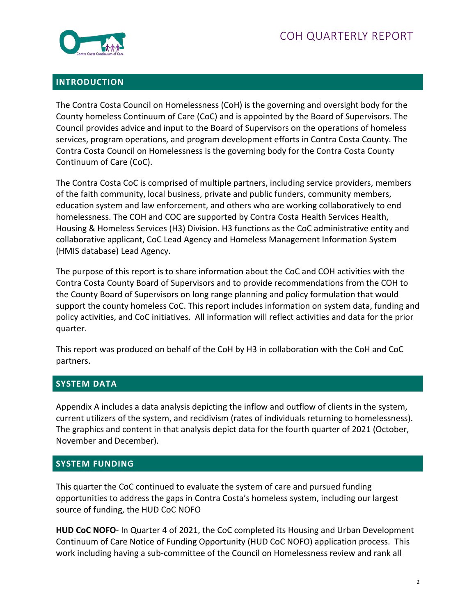

#### **INTRODUCTION**

The Contra Costa Council on Homelessness (CoH) is the governing and oversight body for the County homeless Continuum of Care (CoC) and is appointed by the Board of Supervisors. The Council provides advice and input to the Board of Supervisors on the operations of homeless services, program operations, and program development efforts in Contra Costa County. The Contra Costa Council on Homelessness is the governing body for the Contra Costa County Continuum of Care (CoC).

The Contra Costa CoC is comprised of multiple partners, including service providers, members of the faith community, local business, private and public funders, community members, education system and law enforcement, and others who are working collaboratively to end homelessness. The COH and COC are supported by Contra Costa Health Services Health, Housing & Homeless Services (H3) Division. H3 functions as the CoC administrative entity and collaborative applicant, CoC Lead Agency and Homeless Management Information System (HMIS database) Lead Agency.

The purpose of this report is to share information about the CoC and COH activities with the Contra Costa County Board of Supervisors and to provide recommendations from the COH to the County Board of Supervisors on long range planning and policy formulation that would support the county homeless CoC. This report includes information on system data, funding and policy activities, and CoC initiatives. All information will reflect activities and data for the prior quarter.

This report was produced on behalf of the CoH by H3 in collaboration with the CoH and CoC partners.

## **SYSTEM DATA**

Appendix A includes a data analysis depicting the inflow and outflow of clients in the system, current utilizers of the system, and recidivism (rates of individuals returning to homelessness). The graphics and content in that analysis depict data for the fourth quarter of 2021 (October, November and December).

#### **SYSTEM FUNDING**

This quarter the CoC continued to evaluate the system of care and pursued funding opportunities to address the gaps in Contra Costa's homeless system, including our largest source of funding, the HUD CoC NOFO

**HUD CoC NOFO**- In Quarter 4 of 2021, the CoC completed its Housing and Urban Development Continuum of Care Notice of Funding Opportunity (HUD CoC NOFO) application process. This work including having a sub-committee of the Council on Homelessness review and rank all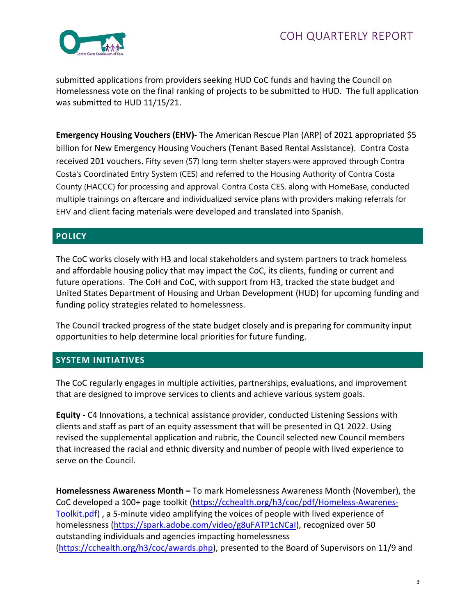

submitted applications from providers seeking HUD CoC funds and having the Council on Homelessness vote on the final ranking of projects to be submitted to HUD. The full application was submitted to HUD 11/15/21.

**Emergency Housing Vouchers (EHV)-** The American Rescue Plan (ARP) of 2021 appropriated \$5 billion for New Emergency Housing Vouchers (Tenant Based Rental Assistance). Contra Costa received 201 vouchers. Fifty seven (57) long term shelter stayers were approved through Contra Costa's Coordinated Entry System (CES) and referred to the Housing Authority of Contra Costa County (HACCC) for processing and approval. Contra Costa CES, along with HomeBase, conducted multiple trainings on aftercare and individualized service plans with providers making referrals for EHV and client facing materials were developed and translated into Spanish.

## **POLICY**

The CoC works closely with H3 and local stakeholders and system partners to track homeless and affordable housing policy that may impact the CoC, its clients, funding or current and future operations. The CoH and CoC, with support from H3, tracked the state budget and United States Department of Housing and Urban Development (HUD) for upcoming funding and funding policy strategies related to homelessness.

The Council tracked progress of the state budget closely and is preparing for community input opportunities to help determine local priorities for future funding.

## **SYSTEM INITIATIVES**

The CoC regularly engages in multiple activities, partnerships, evaluations, and improvement that are designed to improve services to clients and achieve various system goals.

**Equity -** C4 Innovations, a technical assistance provider, conducted Listening Sessions with clients and staff as part of an equity assessment that will be presented in Q1 2022. Using revised the supplemental application and rubric, the Council selected new Council members that increased the racial and ethnic diversity and number of people with lived experience to serve on the Council.

**Homelessness Awareness Month –** To mark Homelessness Awareness Month (November), the CoC developed a 100+ page toolkit [\(https://cchealth.org/h3/coc/pdf/Homeless-Awarenes-](https://cchealth.org/h3/coc/pdf/Homeless-Awarenes-Toolkit.pdf)[Toolkit.pdf\)](https://cchealth.org/h3/coc/pdf/Homeless-Awarenes-Toolkit.pdf) , a 5-minute video amplifying the voices of people with lived experience of homelessness [\(https://spark.adobe.com/video/g8uFATP1cNCaI\)](https://spark.adobe.com/video/g8uFATP1cNCaI), recognized over 50 outstanding individuals and agencies impacting homelessness [\(https://cchealth.org/h3/coc/awards.php\)](https://cchealth.org/h3/coc/awards.php), presented to the Board of Supervisors on 11/9 and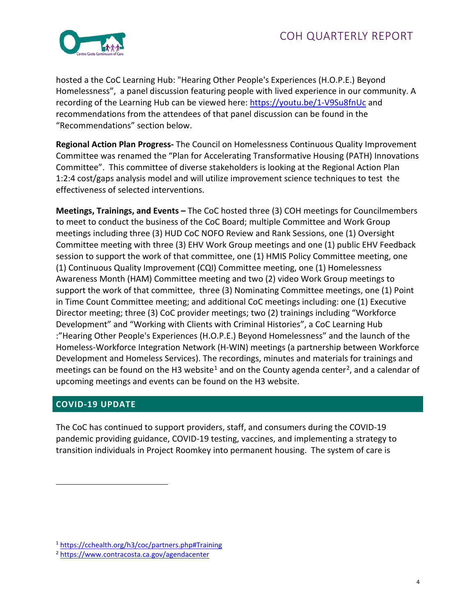

hosted a the CoC Learning Hub: "Hearing Other People's Experiences (H.O.P.E.) Beyond Homelessness", a panel discussion featuring people with lived experience in our community. A recording of the Learning Hub can be viewed here:<https://youtu.be/1-V9Su8fnUc> and recommendations from the attendees of that panel discussion can be found in the "Recommendations" section below.

**Regional Action Plan Progress-** The Council on Homelessness Continuous Quality Improvement Committee was renamed the "Plan for Accelerating Transformative Housing (PATH) Innovations Committee". This committee of diverse stakeholders is looking at the Regional Action Plan 1:2:4 cost/gaps analysis model and will utilize improvement science techniques to test the effectiveness of selected interventions.

**Meetings, Trainings, and Events –** The CoC hosted three (3) COH meetings for Councilmembers to meet to conduct the business of the CoC Board; multiple Committee and Work Group meetings including three (3) HUD CoC NOFO Review and Rank Sessions, one (1) Oversight Committee meeting with three (3) EHV Work Group meetings and one (1) public EHV Feedback session to support the work of that committee, one (1) HMIS Policy Committee meeting, one (1) Continuous Quality Improvement (CQI) Committee meeting, one (1) Homelessness Awareness Month (HAM) Committee meeting and two (2) video Work Group meetings to support the work of that committee, three (3) Nominating Committee meetings, one (1) Point in Time Count Committee meeting; and additional CoC meetings including: one (1) Executive Director meeting; three (3) CoC provider meetings; two (2) trainings including "Workforce Development" and "Working with Clients with Criminal Histories", a CoC Learning Hub :"Hearing Other People's Experiences (H.O.P.E.) Beyond Homelessness" and the launch of the Homeless-Workforce Integration Network (H-WIN) meetings (a partnership between Workforce Development and Homeless Services). The recordings, minutes and materials for trainings and meetings can be found on the H3 website<sup>[1](#page-3-0)</sup> and on the County agenda center<sup>2</sup>, and a calendar of upcoming meetings and events can be found on the H3 website.

## **COVID-19 UPDATE**

The CoC has continued to support providers, staff, and consumers during the COVID-19 pandemic providing guidance, COVID-19 testing, vaccines, and implementing a strategy to transition individuals in Project Roomkey into permanent housing. The system of care is

<span id="page-3-0"></span><sup>1</sup> <https://cchealth.org/h3/coc/partners.php#Training>2 <https://www.contracosta.ca.gov/agendacenter>

<span id="page-3-1"></span>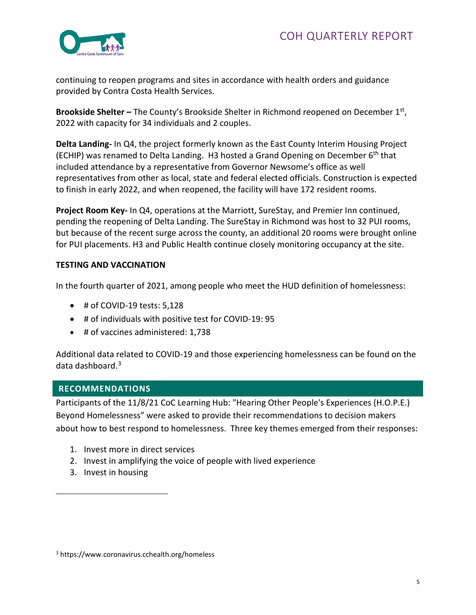

continuing to reopen programs and sites in accordance with health orders and guidance provided by Contra Costa Health Services.

**Brookside Shelter –** The County's Brookside Shelter in Richmond reopened on December 1st, 2022 with capacity for 34 individuals and 2 couples.

**Delta Landing-** In Q4, the project formerly known as the East County Interim Housing Project (ECHIP) was renamed to Delta Landing. H3 hosted a Grand Opening on December  $6<sup>th</sup>$  that included attendance by a representative from Governor Newsome's office as well representatives from other as local, state and federal elected officials. Construction is expected to finish in early 2022, and when reopened, the facility will have 172 resident rooms.

**Project Room Key-** In Q4, operations at the Marriott, SureStay, and Premier Inn continued, pending the reopening of Delta Landing. The SureStay in Richmond was host to 32 PUI rooms, but because of the recent surge across the county, an additional 20 rooms were brought online for PUI placements. H3 and Public Health continue closely monitoring occupancy at the site.

## **TESTING AND VACCINATION**

In the fourth quarter of 2021, among people who meet the HUD definition of homelessness:

- # of COVID-19 tests: 5,128
- # of individuals with positive test for COVID-19: 95
- # of vaccines administered: 1,738

Additional data related to COVID-19 and those experiencing homelessness can be found on the data dashboard.[3](#page-4-0)

#### **RECOMMENDATIONS**

Participants of the 11/8/21 CoC Learning Hub: "Hearing Other People's Experiences (H.O.P.E.) Beyond Homelessness" were asked to provide their recommendations to decision makers about how to best respond to homelessness. Three key themes emerged from their responses:

- 1. Invest more in direct services
- 2. Invest in amplifying the voice of people with lived experience
- 3. Invest in housing

<span id="page-4-0"></span><sup>3</sup> https://www.coronavirus.cchealth.org/homeless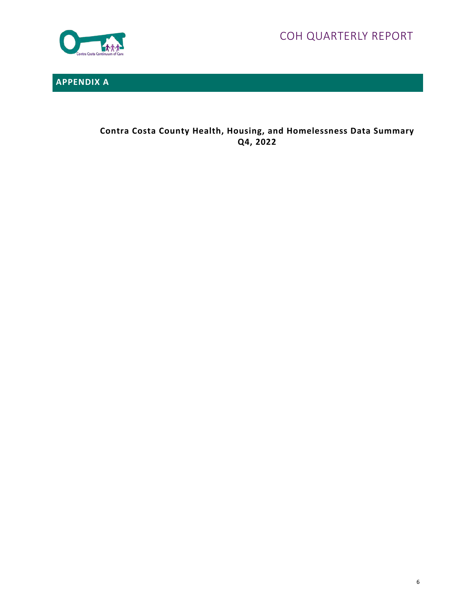COH QUARTERLY REPORT



**APPENDIX A** 

**Contra Costa County Health, Housing, and Homelessness Data Summary Q4, 2022**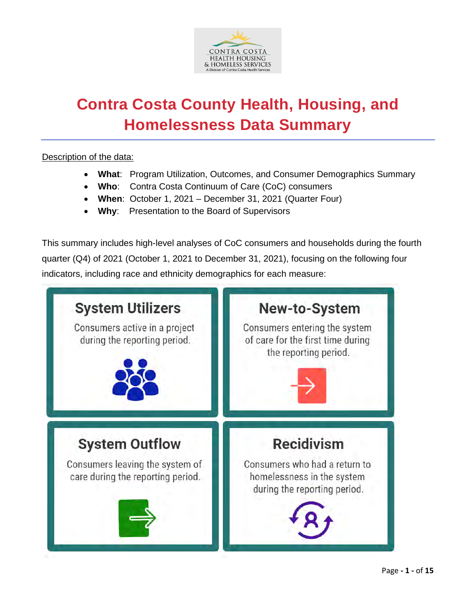

# **Contra Costa County Health, Housing, and Homelessness Data Summary**

## Description of the data:

- **What**: Program Utilization, Outcomes, and Consumer Demographics Summary
- **Who**: Contra Costa Continuum of Care (CoC) consumers
- **When**: October 1, 2021 December 31, 2021 (Quarter Four)
- **Why**: Presentation to the Board of Supervisors

This summary includes high-level analyses of CoC consumers and households during the fourth quarter (Q4) of 2021 (October 1, 2021 to December 31, 2021), focusing on the following four indicators, including race and ethnicity demographics for each measure:

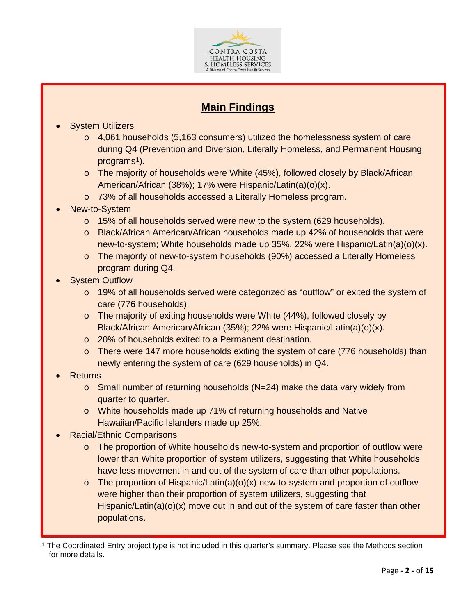

# **Main Findings**

- **System Utilizers** 
	- $\circ$  4,061 households (5,163 consumers) utilized the homelessness system of care during Q4 (Prevention and Diversion, Literally Homeless, and Permanent Housing programs<sup> $1$ </sup>).
	- o The majority of households were White (45%), followed closely by Black/African American/African (38%); 17% were Hispanic/Latin(a)(o)(x).
	- o 73% of all households accessed a Literally Homeless program.
- New-to-System
	- o 15% of all households served were new to the system (629 households).
	- o Black/African American/African households made up 42% of households that were new-to-system; White households made up 35%. 22% were Hispanic/Latin(a)(o)(x).
	- o The majority of new-to-system households (90%) accessed a Literally Homeless program during Q4.
- **System Outflow** 
	- o 19% of all households served were categorized as "outflow" or exited the system of care (776 households).
	- o The majority of exiting households were White (44%), followed closely by Black/African American/African (35%); 22% were Hispanic/Latin(a)(o)(x).
	- o 20% of households exited to a Permanent destination.
	- $\circ$  There were 147 more households exiting the system of care (776 households) than newly entering the system of care (629 households) in Q4.
- Returns
	- $\circ$  Small number of returning households (N=24) make the data vary widely from quarter to quarter.
	- o White households made up 71% of returning households and Native Hawaiian/Pacific Islanders made up 25%.
- Racial/Ethnic Comparisons
	- o The proportion of White households new-to-system and proportion of outflow were lower than White proportion of system utilizers, suggesting that White households have less movement in and out of the system of care than other populations.
	- $\circ$  The proportion of Hispanic/Latin(a)(o)(x) new-to-system and proportion of outflow were higher than their proportion of system utilizers, suggesting that Hispanic/Latin(a)(o)(x) move out in and out of the system of care faster than other populations.

<span id="page-7-0"></span><sup>1</sup> The Coordinated Entry project type is not included in this quarter's summary. Please see the Methods section for more details.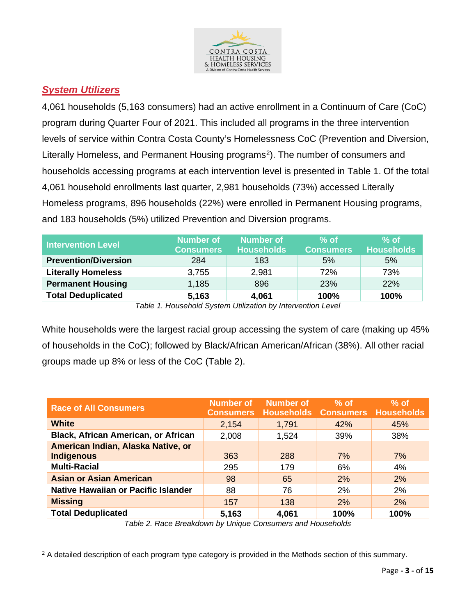

# *System Utilizers*

4,061 households (5,163 consumers) had an active enrollment in a Continuum of Care (CoC) program during Quarter Four of 2021. This included all programs in the three intervention levels of service within Contra Costa County's Homelessness CoC (Prevention and Diversion, Literally Homeless, and Permanent Housing programs<sup>[2](#page-8-0)</sup>). The number of consumers and households accessing programs at each intervention level is presented in Table 1. Of the total 4,061 household enrollments last quarter, 2,981 households (73%) accessed Literally Homeless programs, 896 households (22%) were enrolled in Permanent Housing programs, and 183 households (5%) utilized Prevention and Diversion programs.

| <b>Intervention Level</b>                                 | Number of<br><b>Consumers</b> | <b>Number of</b><br><b>Households</b> | $%$ of<br><b>Consumers</b> | $%$ of<br><b>Households</b> |  |  |
|-----------------------------------------------------------|-------------------------------|---------------------------------------|----------------------------|-----------------------------|--|--|
| <b>Prevention/Diversion</b>                               | 284                           | 183                                   | 5%                         | 5%                          |  |  |
| <b>Literally Homeless</b>                                 | 3,755                         | 2,981                                 | 72%                        | 73%                         |  |  |
| <b>Permanent Housing</b>                                  | 1,185                         | 896                                   | 23%                        | <b>22%</b>                  |  |  |
| <b>Total Deduplicated</b>                                 | 5,163                         | 4,061                                 | 100%                       | 100%                        |  |  |
| Table 1 Household Cuptom Hill-otion by Intervention Lovel |                               |                                       |                            |                             |  |  |

*Table 1. Household System Utilization by Intervention Level*

White households were the largest racial group accessing the system of care (making up 45% of households in the CoC); followed by Black/African American/African (38%). All other racial groups made up 8% or less of the CoC (Table 2).

| <b>Race of All Consumers</b>                            | <b>Number of</b><br><b>Consumers</b> | <b>Number of</b><br><b>Households Consumers Households</b> | $%$ of | $%$ of |
|---------------------------------------------------------|--------------------------------------|------------------------------------------------------------|--------|--------|
| <b>White</b>                                            | 2,154                                | 1,791                                                      | 42%    | 45%    |
| <b>Black, African American, or African</b>              | 2,008                                | 1,524                                                      | 39%    | 38%    |
| American Indian, Alaska Native, or<br><b>Indigenous</b> | 363                                  | 288                                                        | 7%     | 7%     |
| <b>Multi-Racial</b>                                     | 295                                  | 179                                                        | 6%     | 4%     |
| <b>Asian or Asian American</b>                          | 98                                   | 65                                                         | 2%     | 2%     |
| Native Hawaiian or Pacific Islander                     | 88                                   | 76                                                         | 2%     | 2%     |
| <b>Missing</b>                                          | 157                                  | 138                                                        | 2%     | 2%     |
| <b>Total Deduplicated</b>                               | 5,163                                | 4,061                                                      | 100%   | 100%   |

*Table 2. Race Breakdown by Unique Consumers and Households*

<span id="page-8-0"></span><sup>&</sup>lt;sup>2</sup> A detailed description of each program type category is provided in the Methods section of this summary.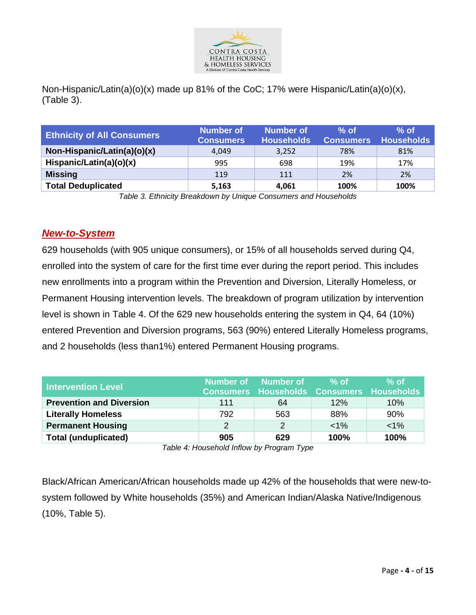

Non-Hispanic/Latin(a)(o)(x) made up 81% of the CoC; 17% were Hispanic/Latin(a)(o)(x), (Table 3).

| <b>Ethnicity of All Consumers</b> | Number of<br><b>Consumers</b> | Number of<br><b>Households</b> | $%$ of<br><b>Consumers</b> | $%$ of<br><b>Households</b> |
|-----------------------------------|-------------------------------|--------------------------------|----------------------------|-----------------------------|
| Non-Hispanic/Latin(a)(o)(x)       | 4.049                         | 3,252                          | 78%                        | 81%                         |
| Hispanic/Latin(a)(o)(x)           | 995                           | 698                            | 19%                        | 17%                         |
| <b>Missing</b>                    | 119                           | 111                            | 2%                         | 2%                          |
| <b>Total Deduplicated</b>         | 5,163                         | 4.061                          | 100%                       | 100%                        |

*Table 3. Ethnicity Breakdown by Unique Consumers and Households*

# *New-to-System*

629 households (with 905 unique consumers), or 15% of all households served during Q4, enrolled into the system of care for the first time ever during the report period. This includes new enrollments into a program within the Prevention and Diversion, Literally Homeless, or Permanent Housing intervention levels. The breakdown of program utilization by intervention level is shown in Table 4. Of the 629 new households entering the system in Q4, 64 (10%) entered Prevention and Diversion programs, 563 (90%) entered Literally Homeless programs, and 2 households (less than1%) entered Permanent Housing programs.

| <b>Intervention Level</b>       |     | Number of Number of<br><b>Consumers Households Consumers Households</b> | $%$ of | $%$ of  |
|---------------------------------|-----|-------------------------------------------------------------------------|--------|---------|
| <b>Prevention and Diversion</b> | 111 | 64                                                                      | 12%    | 10%     |
| <b>Literally Homeless</b>       | 792 | 563                                                                     | 88%    | 90%     |
| <b>Permanent Housing</b>        | 2   |                                                                         | $1\%$  | $< 1\%$ |
| <b>Total (unduplicated)</b>     | 905 | 629                                                                     | 100%   | 100%    |

*Table 4: Household Inflow by Program Type*

Black/African American/African households made up 42% of the households that were new-tosystem followed by White households (35%) and American Indian/Alaska Native/Indigenous (10%, Table 5).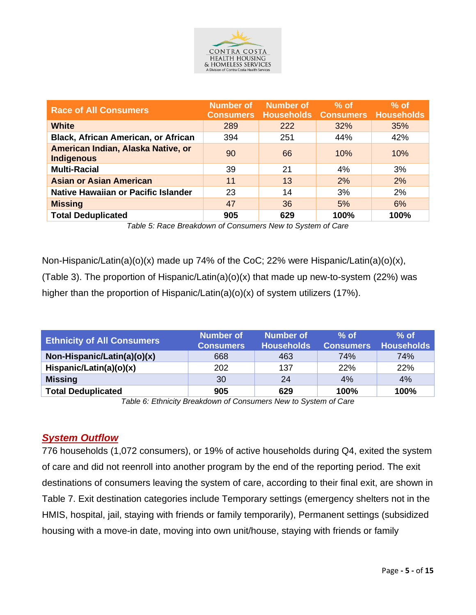

| <b>Race of All Consumers</b>                            | <b>Number of</b><br><b>Consumers</b> | <b>Number of</b><br><b>Households</b> | $%$ of<br><b>Consumers Households</b> | $%$ of |
|---------------------------------------------------------|--------------------------------------|---------------------------------------|---------------------------------------|--------|
| <b>White</b>                                            | 289                                  | 222                                   | 32%                                   | 35%    |
| <b>Black, African American, or African</b>              | 394                                  | 251                                   | 44%                                   | 42%    |
| American Indian, Alaska Native, or<br><b>Indigenous</b> | 90                                   | 66                                    | 10%                                   | 10%    |
| <b>Multi-Racial</b>                                     | 39                                   | 21                                    | 4%                                    | 3%     |
| <b>Asian or Asian American</b>                          | 11                                   | 13                                    | 2%                                    | 2%     |
| Native Hawaiian or Pacific Islander                     | 23                                   | 14                                    | 3%                                    | 2%     |
| <b>Missing</b>                                          | 47                                   | 36                                    | 5%                                    | 6%     |
| <b>Total Deduplicated</b>                               | 905                                  | 629                                   | 100%                                  | 100%   |

*Table 5: Race Breakdown of Consumers New to System of Care*

Non-Hispanic/Latin(a)(o)(x) made up 74% of the CoC; 22% were Hispanic/Latin(a)(o)(x), (Table 3). The proportion of Hispanic/Latin(a)(o)(x) that made up new-to-system (22%) was higher than the proportion of Hispanic/Latin(a)(o)(x) of system utilizers (17%).

| <b>Ethnicity of All Consumers</b> | Number of<br><b>Consumers</b> | <b>Number of</b><br><b>Households</b> | $%$ of<br><b>Consumers</b> | $%$ of<br><b>Households</b> |
|-----------------------------------|-------------------------------|---------------------------------------|----------------------------|-----------------------------|
| Non-Hispanic/Latin(a)(o)(x)       | 668                           | 463                                   | 74%                        | 74%                         |
| Hispanic/Latin(a)(o)(x)           | 202                           | 137                                   | 22%                        | 22%                         |
| <b>Missing</b>                    | 30                            | 24                                    | 4%                         | 4%                          |
| <b>Total Deduplicated</b>         | 905                           | 629                                   | 100%                       | 100%                        |

*Table 6: Ethnicity Breakdown of Consumers New to System of Care*

# *System Outflow*

776 households (1,072 consumers), or 19% of active households during Q4, exited the system of care and did not reenroll into another program by the end of the reporting period. The exit destinations of consumers leaving the system of care, according to their final exit, are shown in Table 7. Exit destination categories include Temporary settings (emergency shelters not in the HMIS, hospital, jail, staying with friends or family temporarily), Permanent settings (subsidized housing with a move-in date, moving into own unit/house, staying with friends or family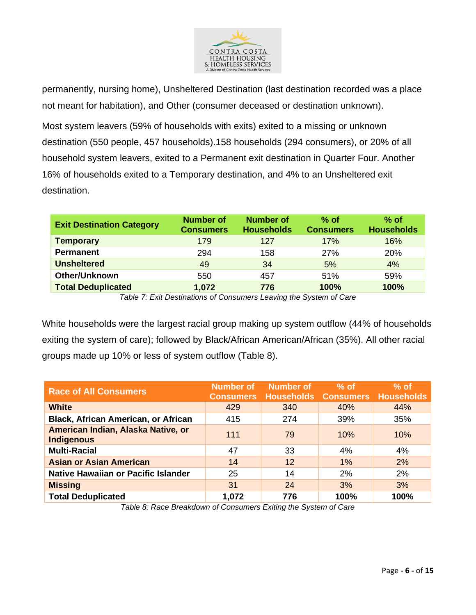

permanently, nursing home), Unsheltered Destination (last destination recorded was a place not meant for habitation), and Other (consumer deceased or destination unknown).

Most system leavers (59% of households with exits) exited to a missing or unknown destination (550 people, 457 households).158 households (294 consumers), or 20% of all household system leavers, exited to a Permanent exit destination in Quarter Four. Another 16% of households exited to a Temporary destination, and 4% to an Unsheltered exit destination.

| <b>Exit Destination Category</b> | <b>Number of</b><br><b>Consumers</b> | <b>Number of</b><br><b>Households</b> | $%$ of<br><b>Consumers</b>  | $%$ of<br><b>Households</b> |
|----------------------------------|--------------------------------------|---------------------------------------|-----------------------------|-----------------------------|
| <b>Temporary</b>                 | 179                                  | 127                                   | 17%                         | 16%                         |
| <b>Permanent</b>                 | 294                                  | 158                                   | 27%                         | 20%                         |
| <b>Unsheltered</b>               | 49                                   | 34                                    | 5%                          | 4%                          |
| Other/Unknown                    | 550                                  | 457                                   | 51%                         | 59%                         |
| <b>Total Deduplicated</b>        | 1,072                                | 776                                   | 100%                        | 100%                        |
|                                  | $\cdots$ $\cdots$                    |                                       | $\sim$ $\sim$ $\sim$ $\sim$ |                             |

*Table 7: Exit Destinations of Consumers Leaving the System of Care*

White households were the largest racial group making up system outflow (44% of households exiting the system of care); followed by Black/African American/African (35%). All other racial groups made up 10% or less of system outflow (Table 8).

| <b>Race of All Consumers</b>                            | <b>Number of</b><br><b>Consumers</b> | <b>Number of</b>  | $%$ of<br><b>Households Consumers Households</b> | $%$ of |
|---------------------------------------------------------|--------------------------------------|-------------------|--------------------------------------------------|--------|
| <b>White</b>                                            | 429                                  | 340               | 40%                                              | 44%    |
| <b>Black, African American, or African</b>              | 415                                  | 274               | 39%                                              | 35%    |
| American Indian, Alaska Native, or<br><b>Indigenous</b> | 111                                  | 79                | 10%                                              | 10%    |
| <b>Multi-Racial</b>                                     | 47                                   | 33                | 4%                                               | 4%     |
| <b>Asian or Asian American</b>                          | 14                                   | $12 \overline{ }$ | 1%                                               | 2%     |
| Native Hawaiian or Pacific Islander                     | 25                                   | 14                | 2%                                               | 2%     |
| <b>Missing</b>                                          | 31                                   | 24                | 3%                                               | 3%     |
| <b>Total Deduplicated</b>                               | 1,072                                | 776               | 100%                                             | 100%   |

*Table 8: Race Breakdown of Consumers Exiting the System of Care*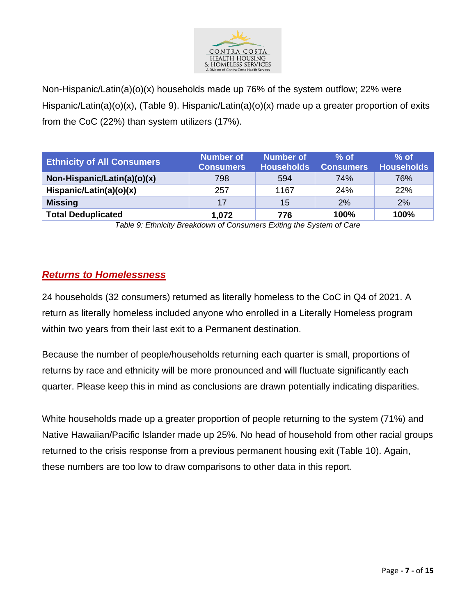

Non-Hispanic/Latin(a)(o)(x) households made up 76% of the system outflow; 22% were Hispanic/Latin(a)(o)(x), (Table 9). Hispanic/Latin(a)(o)(x) made up a greater proportion of exits from the CoC (22%) than system utilizers (17%).

| <b>Ethnicity of All Consumers</b> | Number of<br><b>Consumers</b> | Number of<br><b>Households</b> | $%$ of<br><b>Consumers</b> | $%$ of<br><b>Households</b> |
|-----------------------------------|-------------------------------|--------------------------------|----------------------------|-----------------------------|
| Non-Hispanic/Latin(a)(o)(x)       | 798                           | 594                            | <b>74%</b>                 | 76%                         |
| Hispanic/Latin(a)(o)(x)           | 257                           | 1167                           | 24%                        | 22%                         |
| <b>Missing</b>                    | 17                            | 15                             | 2%                         | 2%                          |
| <b>Total Deduplicated</b>         | 1,072                         | 776                            | 100%                       | 100%                        |

*Table 9: Ethnicity Breakdown of Consumers Exiting the System of Care*

# *Returns to Homelessness*

24 households (32 consumers) returned as literally homeless to the CoC in Q4 of 2021. A return as literally homeless included anyone who enrolled in a Literally Homeless program within two years from their last exit to a Permanent destination.

Because the number of people/households returning each quarter is small, proportions of returns by race and ethnicity will be more pronounced and will fluctuate significantly each quarter. Please keep this in mind as conclusions are drawn potentially indicating disparities.

White households made up a greater proportion of people returning to the system (71%) and Native Hawaiian/Pacific Islander made up 25%. No head of household from other racial groups returned to the crisis response from a previous permanent housing exit (Table 10). Again, these numbers are too low to draw comparisons to other data in this report.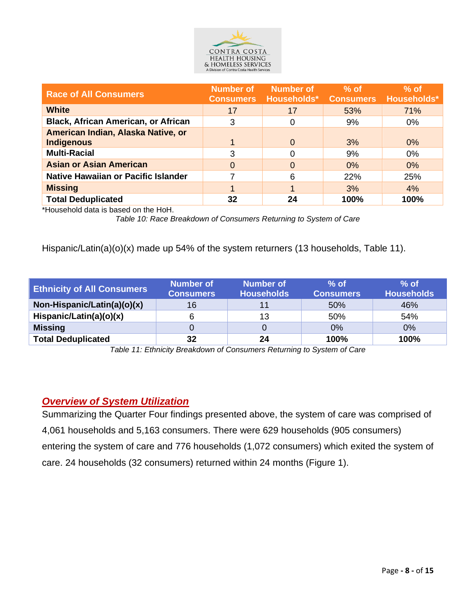

| <b>Race of All Consumers</b>                            | <b>Number of</b><br><b>Consumers</b> | <b>Number of</b><br>Households* | $%$ of<br><b>Consumers</b> | $%$ of<br>Households* |
|---------------------------------------------------------|--------------------------------------|---------------------------------|----------------------------|-----------------------|
| <b>White</b>                                            | 17                                   | 17                              | 53%                        | 71%                   |
| <b>Black, African American, or African</b>              | 3                                    | 0                               | 9%                         | $0\%$                 |
| American Indian, Alaska Native, or<br><b>Indigenous</b> |                                      | 0                               | 3%                         | $0\%$                 |
| <b>Multi-Racial</b>                                     | 3                                    | 0                               | 9%                         | 0%                    |
| <b>Asian or Asian American</b>                          | 0                                    | 0                               | $0\%$                      | $0\%$                 |
| Native Hawaiian or Pacific Islander                     |                                      | 6                               | 22%                        | 25%                   |
| <b>Missing</b>                                          |                                      |                                 | 3%                         | 4%                    |
| <b>Total Deduplicated</b>                               | 32                                   | 24                              | 100%                       | 100%                  |

\*Household data is based on the HoH.

*Table 10: Race Breakdown of Consumers Returning to System of Care*

Hispanic/Latin(a)(o)(x) made up 54% of the system returners (13 households, Table 11).

| <b>Ethnicity of All Consumers</b> | Number of<br><b>Consumers</b> | <b>Number of</b><br><b>Households</b> | $%$ of<br><b>Consumers</b> | $%$ of<br><b>Households</b> |
|-----------------------------------|-------------------------------|---------------------------------------|----------------------------|-----------------------------|
| Non-Hispanic/Latin(a)(o)(x)       | 16                            | 11                                    | 50%                        | 46%                         |
| Hispanic/Latin(a)(o)(x)           |                               | 13                                    | 50%                        | 54%                         |
| <b>Missing</b>                    |                               |                                       | 0%                         | 0%                          |
| <b>Total Deduplicated</b>         | 32                            | 24                                    | 100%                       | 100%                        |

*Table 11: Ethnicity Breakdown of Consumers Returning to System of Care*

# *Overview of System Utilization*

Summarizing the Quarter Four findings presented above, the system of care was comprised of 4,061 households and 5,163 consumers. There were 629 households (905 consumers) entering the system of care and 776 households (1,072 consumers) which exited the system of care. 24 households (32 consumers) returned within 24 months (Figure 1).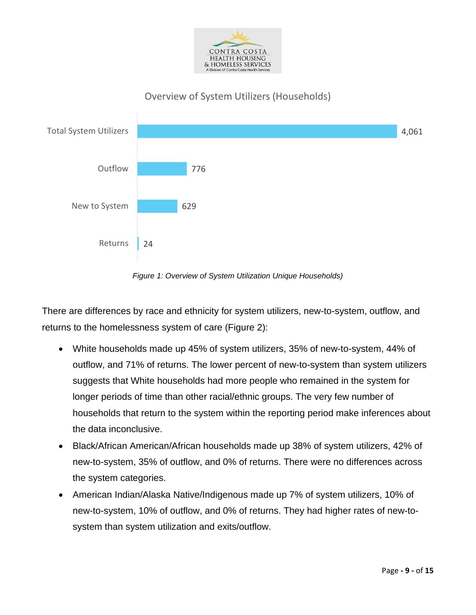

# Overview of System Utilizers (Households)



*Figure 1: Overview of System Utilization Unique Households)*

There are differences by race and ethnicity for system utilizers, new-to-system, outflow, and returns to the homelessness system of care (Figure 2):

- White households made up 45% of system utilizers, 35% of new-to-system, 44% of outflow, and 71% of returns. The lower percent of new-to-system than system utilizers suggests that White households had more people who remained in the system for longer periods of time than other racial/ethnic groups. The very few number of households that return to the system within the reporting period make inferences about the data inconclusive.
- Black/African American/African households made up 38% of system utilizers, 42% of new-to-system, 35% of outflow, and 0% of returns. There were no differences across the system categories.
- American Indian/Alaska Native/Indigenous made up 7% of system utilizers, 10% of new-to-system, 10% of outflow, and 0% of returns. They had higher rates of new-tosystem than system utilization and exits/outflow.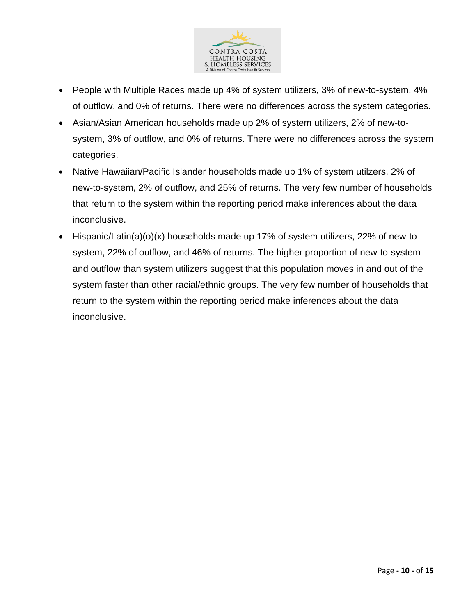

- People with Multiple Races made up 4% of system utilizers, 3% of new-to-system, 4% of outflow, and 0% of returns. There were no differences across the system categories.
- Asian/Asian American households made up 2% of system utilizers, 2% of new-tosystem, 3% of outflow, and 0% of returns. There were no differences across the system categories.
- Native Hawaiian/Pacific Islander households made up 1% of system utilzers, 2% of new-to-system, 2% of outflow, and 25% of returns. The very few number of households that return to the system within the reporting period make inferences about the data inconclusive.
- Hispanic/Latin(a)(o)(x) households made up 17% of system utilizers, 22% of new-tosystem, 22% of outflow, and 46% of returns. The higher proportion of new-to-system and outflow than system utilizers suggest that this population moves in and out of the system faster than other racial/ethnic groups. The very few number of households that return to the system within the reporting period make inferences about the data inconclusive.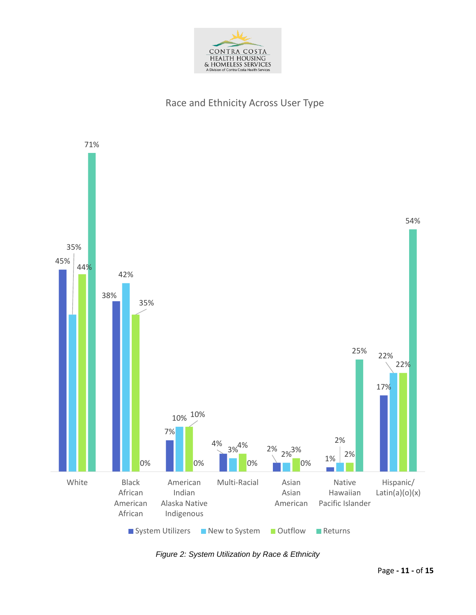

# Race and Ethnicity Across User Type



*Figure 2: System Utilization by Race & Ethnicity*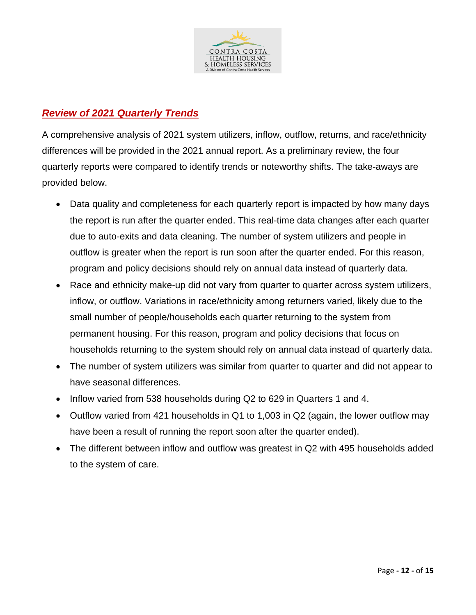

# *Review of 2021 Quarterly Trends*

A comprehensive analysis of 2021 system utilizers, inflow, outflow, returns, and race/ethnicity differences will be provided in the 2021 annual report. As a preliminary review, the four quarterly reports were compared to identify trends or noteworthy shifts. The take-aways are provided below.

- Data quality and completeness for each quarterly report is impacted by how many days the report is run after the quarter ended. This real-time data changes after each quarter due to auto-exits and data cleaning. The number of system utilizers and people in outflow is greater when the report is run soon after the quarter ended. For this reason, program and policy decisions should rely on annual data instead of quarterly data.
- Race and ethnicity make-up did not vary from quarter to quarter across system utilizers, inflow, or outflow. Variations in race/ethnicity among returners varied, likely due to the small number of people/households each quarter returning to the system from permanent housing. For this reason, program and policy decisions that focus on households returning to the system should rely on annual data instead of quarterly data.
- The number of system utilizers was similar from quarter to quarter and did not appear to have seasonal differences.
- Inflow varied from 538 households during Q2 to 629 in Quarters 1 and 4.
- Outflow varied from 421 households in Q1 to 1,003 in Q2 (again, the lower outflow may have been a result of running the report soon after the quarter ended).
- The different between inflow and outflow was greatest in Q2 with 495 households added to the system of care.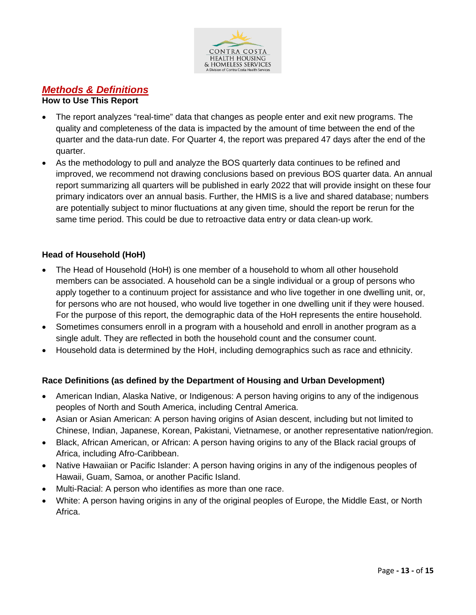

# *Methods & Definitions*

#### **How to Use This Report**

- The report analyzes "real-time" data that changes as people enter and exit new programs. The quality and completeness of the data is impacted by the amount of time between the end of the quarter and the data-run date. For Quarter 4, the report was prepared 47 days after the end of the quarter.
- As the methodology to pull and analyze the BOS quarterly data continues to be refined and improved, we recommend not drawing conclusions based on previous BOS quarter data. An annual report summarizing all quarters will be published in early 2022 that will provide insight on these four primary indicators over an annual basis. Further, the HMIS is a live and shared database; numbers are potentially subject to minor fluctuations at any given time, should the report be rerun for the same time period. This could be due to retroactive data entry or data clean-up work.

#### **Head of Household (HoH)**

- The Head of Household (HoH) is one member of a household to whom all other household members can be associated. A household can be a single individual or a group of persons who apply together to a continuum project for assistance and who live together in one dwelling unit, or, for persons who are not housed, who would live together in one dwelling unit if they were housed. For the purpose of this report, the demographic data of the HoH represents the entire household.
- Sometimes consumers enroll in a program with a household and enroll in another program as a single adult. They are reflected in both the household count and the consumer count.
- Household data is determined by the HoH, including demographics such as race and ethnicity.

## **Race Definitions (as defined by the Department of Housing and Urban Development)**

- American Indian, Alaska Native, or Indigenous: A person having origins to any of the indigenous peoples of North and South America, including Central America.
- Asian or Asian American: A person having origins of Asian descent, including but not limited to Chinese, Indian, Japanese, Korean, Pakistani, Vietnamese, or another representative nation/region.
- Black, African American, or African: A person having origins to any of the Black racial groups of Africa, including Afro-Caribbean.
- Native Hawaiian or Pacific Islander: A person having origins in any of the indigenous peoples of Hawaii, Guam, Samoa, or another Pacific Island.
- Multi-Racial: A person who identifies as more than one race.
- White: A person having origins in any of the original peoples of Europe, the Middle East, or North Africa.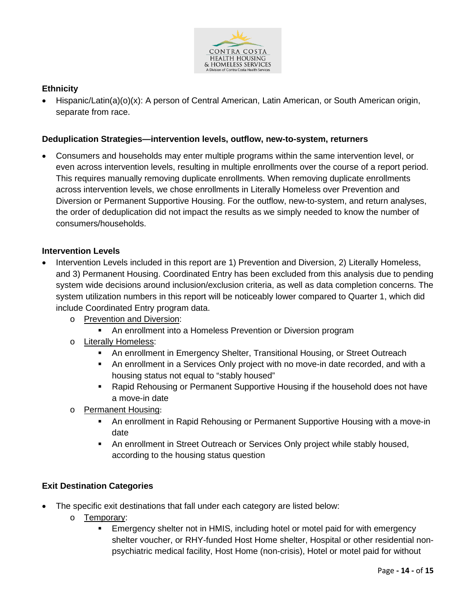

#### **Ethnicity**

• Hispanic/Latin(a)(o)(x): A person of Central American, Latin American, or South American origin, separate from race.

#### **Deduplication Strategies—intervention levels, outflow, new-to-system, returners**

• Consumers and households may enter multiple programs within the same intervention level, or even across intervention levels, resulting in multiple enrollments over the course of a report period. This requires manually removing duplicate enrollments. When removing duplicate enrollments across intervention levels, we chose enrollments in Literally Homeless over Prevention and Diversion or Permanent Supportive Housing. For the outflow, new-to-system, and return analyses, the order of deduplication did not impact the results as we simply needed to know the number of consumers/households.

#### **Intervention Levels**

- Intervention Levels included in this report are 1) Prevention and Diversion, 2) Literally Homeless, and 3) Permanent Housing. Coordinated Entry has been excluded from this analysis due to pending system wide decisions around inclusion/exclusion criteria, as well as data completion concerns. The system utilization numbers in this report will be noticeably lower compared to Quarter 1, which did include Coordinated Entry program data.
	- o Prevention and Diversion:
		- An enrollment into a Homeless Prevention or Diversion program
	- o Literally Homeless:
		- An enrollment in Emergency Shelter, Transitional Housing, or Street Outreach
		- An enrollment in a Services Only project with no move-in date recorded, and with a housing status not equal to "stably housed"
		- Rapid Rehousing or Permanent Supportive Housing if the household does not have a move-in date
	- o Permanent Housing:
		- An enrollment in Rapid Rehousing or Permanent Supportive Housing with a move-in date
		- An enrollment in Street Outreach or Services Only project while stably housed, according to the housing status question

#### **Exit Destination Categories**

- The specific exit destinations that fall under each category are listed below:
	- o Temporary:
		- Emergency shelter not in HMIS, including hotel or motel paid for with emergency shelter voucher, or RHY-funded Host Home shelter, Hospital or other residential nonpsychiatric medical facility, Host Home (non-crisis), Hotel or motel paid for without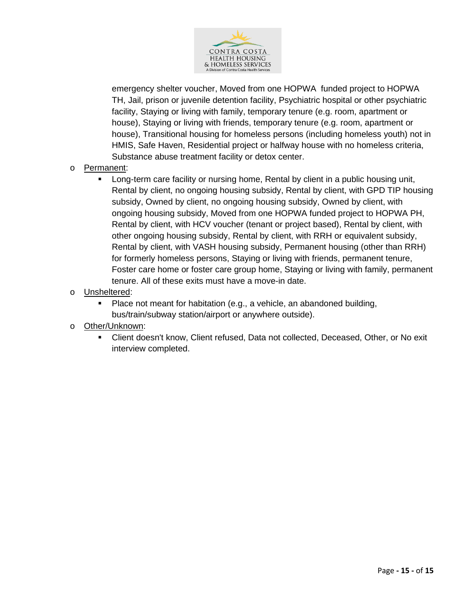

emergency shelter voucher, Moved from one HOPWA funded project to HOPWA TH, Jail, prison or juvenile detention facility, Psychiatric hospital or other psychiatric facility, Staying or living with family, temporary tenure (e.g. room, apartment or house), Staying or living with friends, temporary tenure (e.g. room, apartment or house), Transitional housing for homeless persons (including homeless youth) not in HMIS, Safe Haven, Residential project or halfway house with no homeless criteria, Substance abuse treatment facility or detox center.

- o Permanent:
	- Long-term care facility or nursing home, Rental by client in a public housing unit, Rental by client, no ongoing housing subsidy, Rental by client, with GPD TIP housing subsidy, Owned by client, no ongoing housing subsidy, Owned by client, with ongoing housing subsidy, Moved from one HOPWA funded project to HOPWA PH, Rental by client, with HCV voucher (tenant or project based), Rental by client, with other ongoing housing subsidy, Rental by client, with RRH or equivalent subsidy, Rental by client, with VASH housing subsidy, Permanent housing (other than RRH) for formerly homeless persons, Staying or living with friends, permanent tenure, Foster care home or foster care group home, Staying or living with family, permanent tenure. All of these exits must have a move-in date.
- o Unsheltered:
	- Place not meant for habitation (e.g., a vehicle, an abandoned building, bus/train/subway station/airport or anywhere outside).
- o Other/Unknown:
	- Client doesn't know, Client refused, Data not collected, Deceased, Other, or No exit interview completed.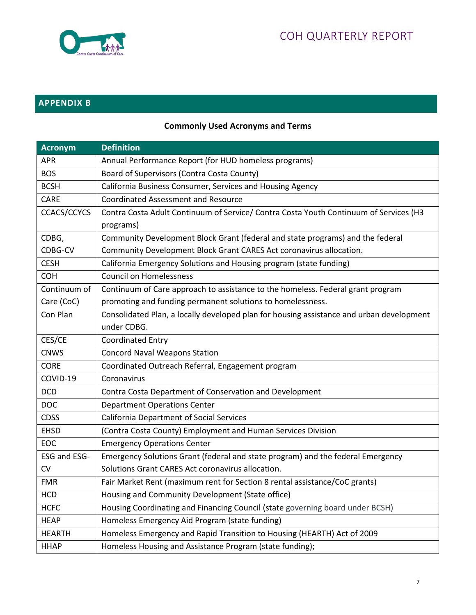

# **APPENDIX B**

# **Commonly Used Acronyms and Terms**

| <b>Acronym</b> | <b>Definition</b>                                                                                       |
|----------------|---------------------------------------------------------------------------------------------------------|
| <b>APR</b>     | Annual Performance Report (for HUD homeless programs)                                                   |
| <b>BOS</b>     | Board of Supervisors (Contra Costa County)                                                              |
| <b>BCSH</b>    | California Business Consumer, Services and Housing Agency                                               |
| CARE           | <b>Coordinated Assessment and Resource</b>                                                              |
| CCACS/CCYCS    | Contra Costa Adult Continuum of Service/ Contra Costa Youth Continuum of Services (H3<br>programs)      |
| CDBG,          | Community Development Block Grant (federal and state programs) and the federal                          |
| CDBG-CV        | Community Development Block Grant CARES Act coronavirus allocation.                                     |
| <b>CESH</b>    | California Emergency Solutions and Housing program (state funding)                                      |
| <b>COH</b>     | <b>Council on Homelessness</b>                                                                          |
| Continuum of   | Continuum of Care approach to assistance to the homeless. Federal grant program                         |
| Care (CoC)     | promoting and funding permanent solutions to homelessness.                                              |
| Con Plan       | Consolidated Plan, a locally developed plan for housing assistance and urban development<br>under CDBG. |
| CES/CE         | <b>Coordinated Entry</b>                                                                                |
| <b>CNWS</b>    | <b>Concord Naval Weapons Station</b>                                                                    |
| <b>CORE</b>    | Coordinated Outreach Referral, Engagement program                                                       |
| COVID-19       | Coronavirus                                                                                             |
| <b>DCD</b>     | Contra Costa Department of Conservation and Development                                                 |
| <b>DOC</b>     | <b>Department Operations Center</b>                                                                     |
| <b>CDSS</b>    | <b>California Department of Social Services</b>                                                         |
| <b>EHSD</b>    | (Contra Costa County) Employment and Human Services Division                                            |
| EOC            | <b>Emergency Operations Center</b>                                                                      |
| ESG and ESG-   | Emergency Solutions Grant (federal and state program) and the federal Emergency                         |
| <b>CV</b>      | Solutions Grant CARES Act coronavirus allocation.                                                       |
| <b>FMR</b>     | Fair Market Rent (maximum rent for Section 8 rental assistance/CoC grants)                              |
| <b>HCD</b>     | Housing and Community Development (State office)                                                        |
| <b>HCFC</b>    | Housing Coordinating and Financing Council (state governing board under BCSH)                           |
| <b>HEAP</b>    | Homeless Emergency Aid Program (state funding)                                                          |
| <b>HEARTH</b>  | Homeless Emergency and Rapid Transition to Housing (HEARTH) Act of 2009                                 |
| <b>HHAP</b>    | Homeless Housing and Assistance Program (state funding);                                                |